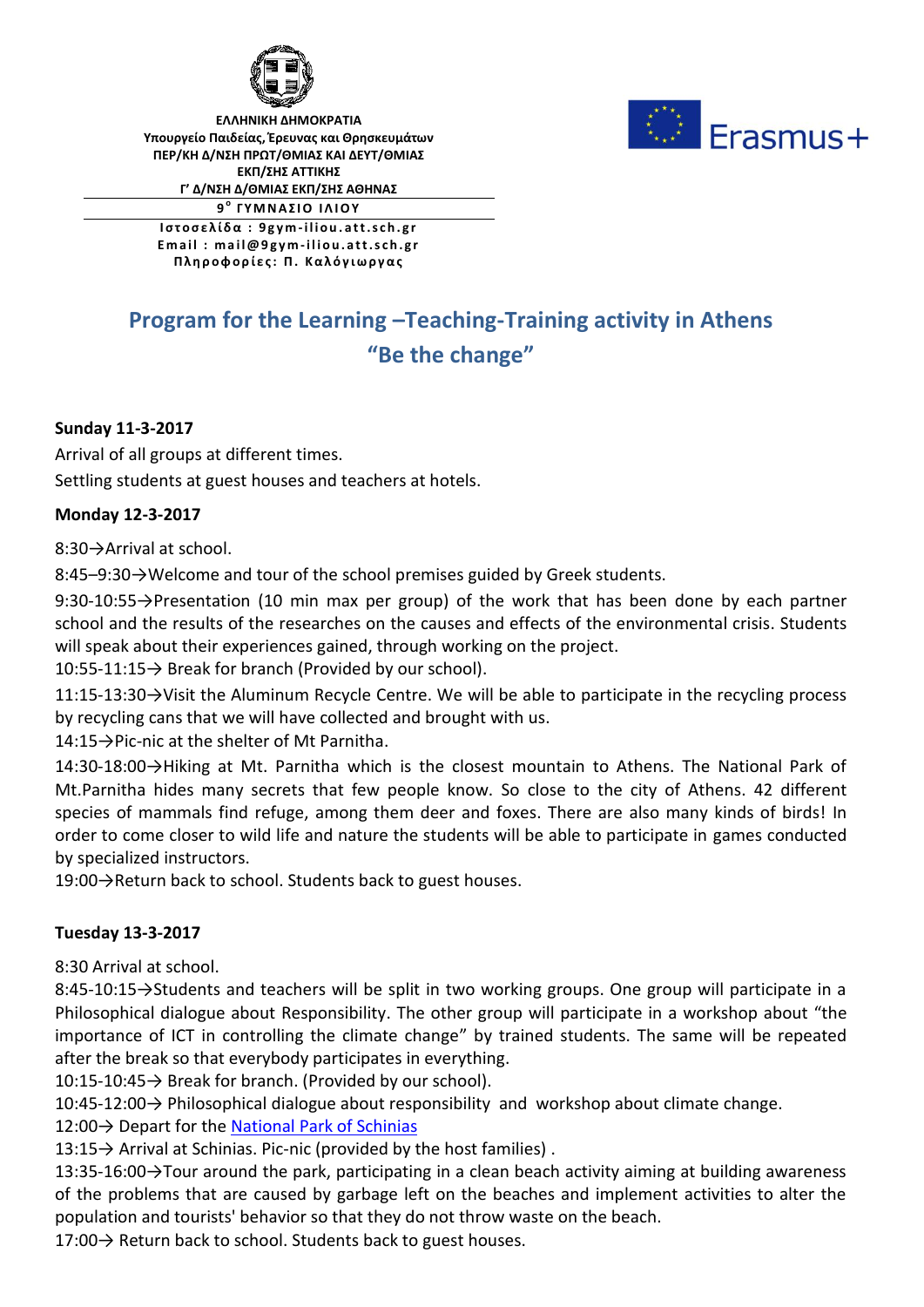

**ΕΛΛΗΝΙΚΗ ΔΗΜΟΚΡΑΤΙΑ Υπουργείο Παιδείας, Έρευνας και Θρησκευμάτων ΠΕΡ/ΚΗ Δ/ΝΣΗ ΠΡΩΤ/ΘΜΙΑΣ ΚΑΙ ΔΕΥΤ/ΘΜΙΑΣ ΕΚΠ/ΣΗΣ ΑΤΤΙΚΗΣ Γ' Δ/ΝΣΗ Δ/ΘΜΙΑΣ ΕΚΠ/ΣΗΣ ΑΘΗΝΑΣ**

**9 <sup>ο</sup>Γ Υ Μ Ν Α Σ Ι Ο Ι Λ Ι Ο Υ**

**Ι σ τ ο σ ε λ ί δ α : 9 gym -i l i o u . att.s c h. g r E m a i l : m a i l@ 9 gym -i l i o u. att.s c h. g r Π λ η ρ ο φο ρ ί ε ς : Π. Κ α λ ό γ ι ω ρ γ α ς**

# **Program for the Learning –Teaching-Training activity in Athens "Be the change"**

### **Sunday 11-3-2017**

Arrival of all groups at different times.

Settling students at guest houses and teachers at hotels.

#### **Monday 12-3-2017**

8:30→Arrival at school.

8:45–9:30→Welcome and tour of the school premises guided by Greek students.

9:30-10:55→Presentation (10 min max per group) of the work that has been done by each partner school and the results of the researches on the causes and effects of the environmental crisis. Students will speak about their experiences gained, through working on the project.

10:55-11:15→ Break for branch (Provided by our school).

11:15-13:30→Visit the Aluminum Recycle Centre. We will be able to participate in the recycling process by recycling cans that we will have collected and brought with us.

14:15→Pic-nic at the shelter of Mt Parnitha.

14:30-18:00→Hiking at Mt. Parnitha which is the closest mountain to Athens. The National Park of Mt.Parnitha hides many secrets that few people know. So close to the city of Athens. 42 different species of mammals find refuge, among them deer and foxes. There are also many kinds of birds! In order to come closer to wild life and nature the students will be able to participate in games conducted by specialized instructors.

19:00→Return back to school. Students back to guest houses.

#### **Tuesday 13-3-2017**

8:30 Arrival at school.

8:45-10:15→Students and teachers will be split in two working groups. One group will participate in a Philosophical dialogue about Responsibility. The other group will participate in a workshop about "the importance of ICT in controlling the climate change" by trained students. The same will be repeated after the break so that everybody participates in everything.

10:15-10:45→ Break for branch. (Provided by our school).

10:45-12:00→ Philosophical dialogue about responsibility and workshop about climate change.

12:00→ Depart for the National Park of Schinias

13:15→ Arrival at Schinias. Pic-nic (provided by the host families) .

13:35-16:00→Tour around the park, participating in a clean beach activity aiming at building awareness of the problems that are caused by garbage left on the beaches and implement activities to alter the population and tourists' behavior so that they do not throw waste on the beach.

17:00 → Return back to school. Students back to guest houses.